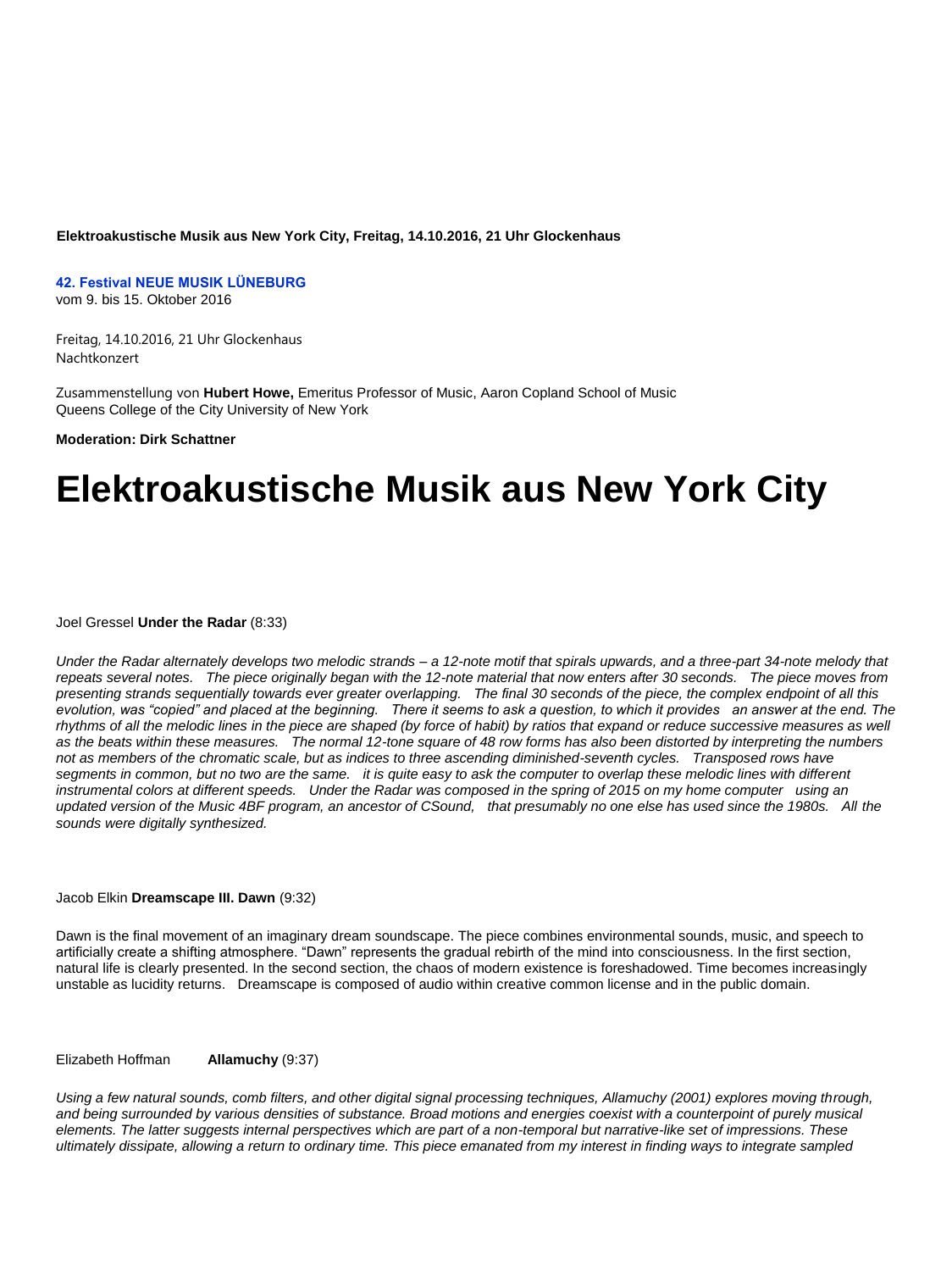#### **Elektroakustische Musik aus New York City, Freitag, 14.10.2016, 21 Uhr Glockenhaus**

**42. Festival NEUE MUSIK LÜNEBURG** 

vom 9. bis 15. Oktober 2016

Freitag, 14.10.2016, 21 Uhr Glockenhaus Nachtkonzert

Zusammenstellung von **Hubert Howe,** Emeritus Professor of Music, Aaron Copland School of Music Queens College of the City University of New York

**Moderation: Dirk Schattner** 

# **Elektroakustische Musik aus New York City**

Joel Gressel **Under the Radar** (8:33)

*Under the Radar alternately develops two melodic strands – a 12-note motif that spirals upwards, and a three-part 34-note melody that repeats several notes. The piece originally began with the 12-note material that now enters after 30 seconds. The piece moves from presenting strands sequentially towards ever greater overlapping. The final 30 seconds of the piece, the complex endpoint of all this evolution, was "copied" and placed at the beginning. There it seems to ask a question, to which it provides an answer at the end. The rhythms of all the melodic lines in the piece are shaped (by force of habit) by ratios that expand or reduce successive measures as well as the beats within these measures. The normal 12-tone square of 48 row forms has also been distorted by interpreting the numbers*  not as members of the chromatic scale, but as indices to three ascending diminished-seventh cycles. Transposed rows have *segments in common, but no two are the same. it is quite easy to ask the computer to overlap these melodic lines with different instrumental colors at different speeds. Under the Radar was composed in the spring of 2015 on my home computer using an updated version of the Music 4BF program, an ancestor of CSound, that presumably no one else has used since the 1980s. All the sounds were digitally synthesized.* 

#### Jacob Elkin **Dreamscape III. Dawn** (9:32)

Dawn is the final movement of an imaginary dream soundscape. The piece combines environmental sounds, music, and speech to artificially create a shifting atmosphere. "Dawn" represents the gradual rebirth of the mind into consciousness. In the first section, natural life is clearly presented. In the second section, the chaos of modern existence is foreshadowed. Time becomes increasingly unstable as lucidity returns. Dreamscape is composed of audio within creative common license and in the public domain.

Elizabeth Hoffman **Allamuchy** (9:37)

*Using a few natural sounds, comb filters, and other digital signal processing techniques, Allamuchy (2001) explores moving through, and being surrounded by various densities of substance. Broad motions and energies coexist with a counterpoint of purely musical elements. The latter suggests internal perspectives which are part of a non-temporal but narrative-like set of impressions. These ultimately dissipate, allowing a return to ordinary time. This piece emanated from my interest in finding ways to integrate sampled*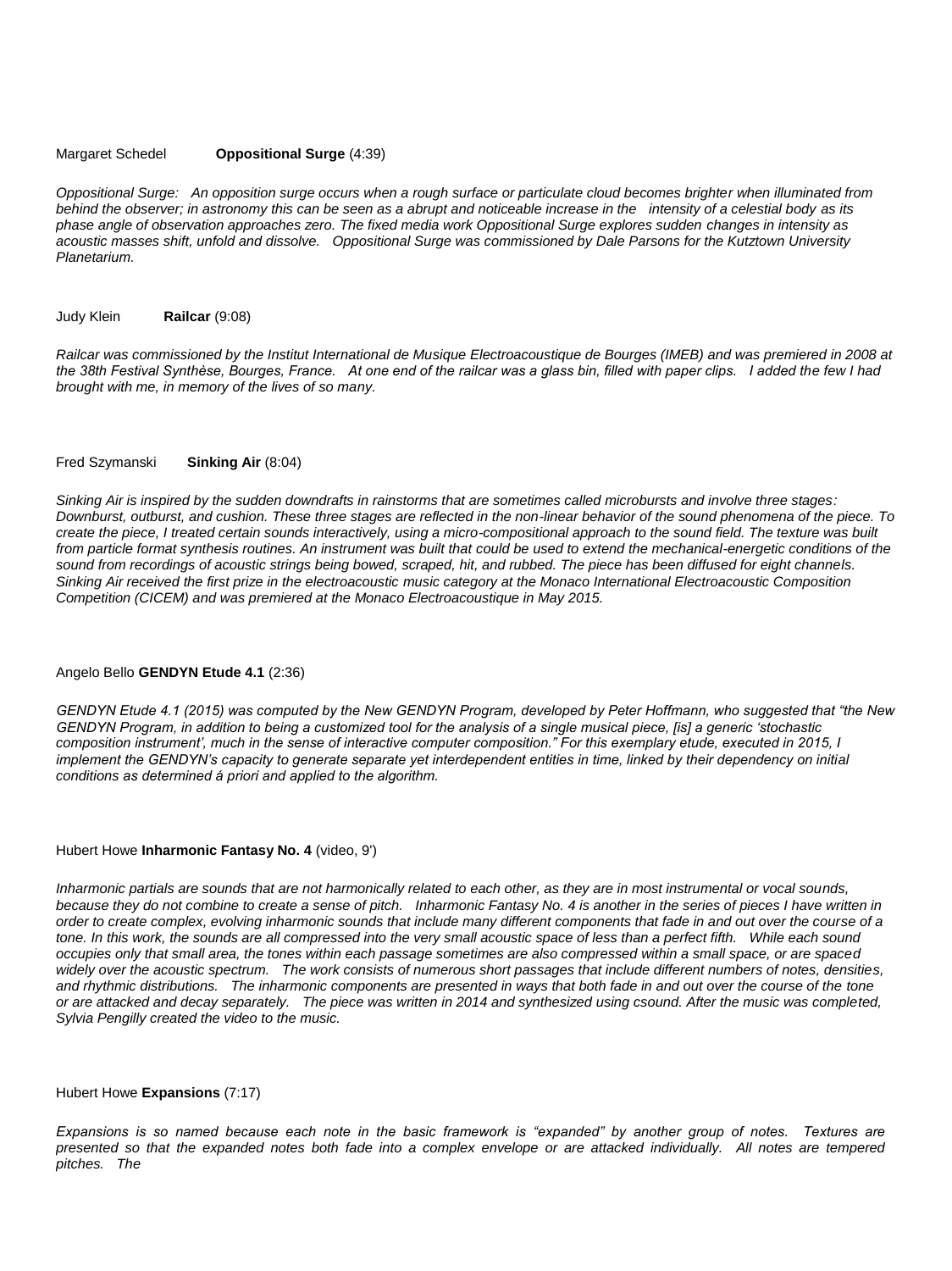#### Margaret Schedel **Oppositional Surge** (4:39)

*Oppositional Surge: An opposition surge occurs when a rough surface or particulate cloud becomes brighter when illuminated from behind the observer; in astronomy this can be seen as a abrupt and noticeable increase in the intensity of a celestial body as its phase angle of observation approaches zero. The fixed media work Oppositional Surge explores sudden changes in intensity as acoustic masses shift, unfold and dissolve. Oppositional Surge was commissioned by Dale Parsons for the Kutztown University Planetarium.* 

Judy Klein **Railcar** (9:08)

*Railcar was commissioned by the Institut International de Musique Electroacoustique de Bourges (IMEB) and was premiered in 2008 at the 38th Festival Synthèse, Bourges, France. At one end of the railcar was a glass bin, filled with paper clips. I added the few I had brought with me, in memory of the lives of so many.* 

#### Fred Szymanski **Sinking Air** (8:04)

*Sinking Air is inspired by the sudden downdrafts in rainstorms that are sometimes called microbursts and involve three stages: Downburst, outburst, and cushion. These three stages are reflected in the non-linear behavior of the sound phenomena of the piece. To create the piece, I treated certain sounds interactively, using a micro-compositional approach to the sound field. The texture was built*  from particle format synthesis routines. An instrument was built that could be used to extend the mechanical-energetic conditions of the *sound from recordings of acoustic strings being bowed, scraped, hit, and rubbed. The piece has been diffused for eight channels. Sinking Air received the first prize in the electroacoustic music category at the Monaco International Electroacoustic Composition Competition (CICEM) and was premiered at the Monaco Electroacoustique in May 2015.* 

#### Angelo Bello **GENDYN Etude 4.1** (2:36)

*GENDYN Etude 4.1 (2015) was computed by the New GENDYN Program, developed by Peter Hoffmann, who suggested that "the New GENDYN Program, in addition to being a customized tool for the analysis of a single musical piece, [is] a generic "stochastic composition instrument", much in the sense of interactive computer composition." For this exemplary etude, executed in 2015, I implement the GENDYN"s capacity to generate separate yet interdependent entities in time, linked by their dependency on initial conditions as determined á priori and applied to the algorithm.* 

#### Hubert Howe **Inharmonic Fantasy No. 4** (video, 9')

*Inharmonic partials are sounds that are not harmonically related to each other, as they are in most instrumental or vocal sounds,*  because they do not combine to create a sense of pitch. Inharmonic Fantasy No. 4 is another in the series of pieces I have written in *order to create complex, evolving inharmonic sounds that include many different components that fade in and out over the course of a*  tone. In this work, the sounds are all compressed into the very small acoustic space of less than a perfect fifth. While each sound *occupies only that small area, the tones within each passage sometimes are also compressed within a small space, or are spaced*  widely over the acoustic spectrum. The work consists of numerous short passages that include different numbers of notes, densities, *and rhythmic distributions. The inharmonic components are presented in ways that both fade in and out over the course of the tone or are attacked and decay separately. The piece was written in 2014 and synthesized using csound. After the music was completed, Sylvia Pengilly created the video to the music.* 

## Hubert Howe **Expansions** (7:17)

*Expansions is so named because each note in the basic framework is "expanded" by another group of notes. Textures are presented so that the expanded notes both fade into a complex envelope or are attacked individually. All notes are tempered pitches. The*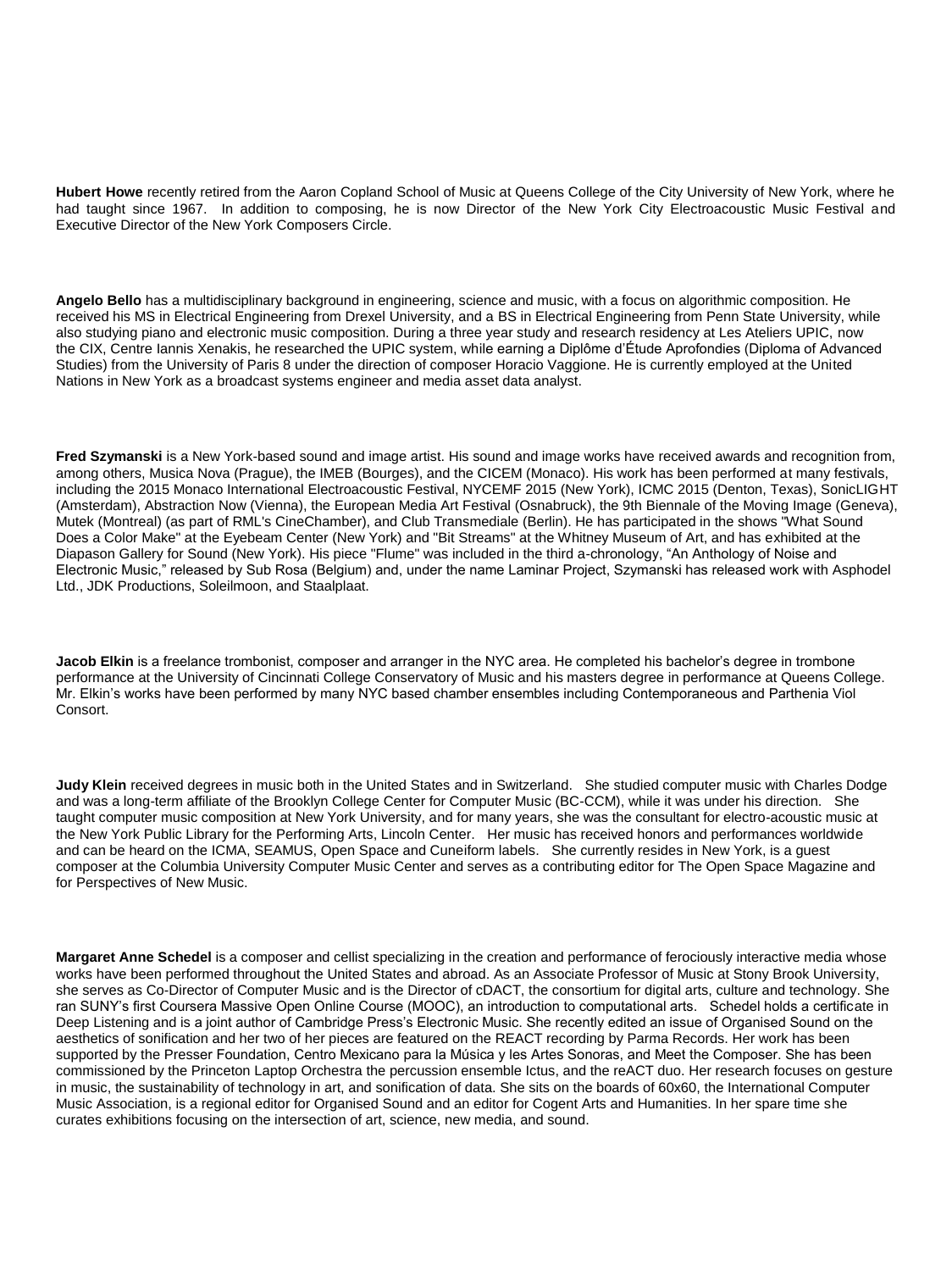**Hubert Howe** recently retired from the Aaron Copland School of Music at Queens College of the City University of New York, where he had taught since 1967. In addition to composing, he is now Director of the New York City Electroacoustic Music Festival and Executive Director of the New York Composers Circle.

**Angelo Bello** has a multidisciplinary background in engineering, science and music, with a focus on algorithmic composition. He received his MS in Electrical Engineering from Drexel University, and a BS in Electrical Engineering from Penn State University, while also studying piano and electronic music composition. During a three year study and research residency at Les Ateliers UPIC, now the CIX, Centre Iannis Xenakis, he researched the UPIC system, while earning a Diplôme d'Étude Aprofondies (Diploma of Advanced Studies) from the University of Paris 8 under the direction of composer Horacio Vaggione. He is currently employed at the United Nations in New York as a broadcast systems engineer and media asset data analyst.

**Fred Szymanski** is a New York-based sound and image artist. His sound and image works have received awards and recognition from, among others, Musica Nova (Prague), the IMEB (Bourges), and the CICEM (Monaco). His work has been performed at many festivals, including the 2015 Monaco International Electroacoustic Festival, NYCEMF 2015 (New York), ICMC 2015 (Denton, Texas), SonicLIGHT (Amsterdam), Abstraction Now (Vienna), the European Media Art Festival (Osnabruck), the 9th Biennale of the Moving Image (Geneva), Mutek (Montreal) (as part of RML's CineChamber), and Club Transmediale (Berlin). He has participated in the shows "What Sound Does a Color Make" at the Eyebeam Center (New York) and "Bit Streams" at the Whitney Museum of Art, and has exhibited at the Diapason Gallery for Sound (New York). His piece "Flume" was included in the third a-chronology, "An Anthology of Noise and Electronic Music," released by Sub Rosa (Belgium) and, under the name Laminar Project, Szymanski has released work with Asphodel Ltd., JDK Productions, Soleilmoon, and Staalplaat.

**Jacob Elkin** is a freelance trombonist, composer and arranger in the NYC area. He completed his bachelor's degree in trombone performance at the University of Cincinnati College Conservatory of Music and his masters degree in performance at Queens College. Mr. Elkin's works have been performed by many NYC based chamber ensembles including Contemporaneous and Parthenia Viol Consort.

**Judy Klein** received degrees in music both in the United States and in Switzerland. She studied computer music with Charles Dodge and was a long-term affiliate of the Brooklyn College Center for Computer Music (BC-CCM), while it was under his direction. She taught computer music composition at New York University, and for many years, she was the consultant for electro-acoustic music at the New York Public Library for the Performing Arts, Lincoln Center. Her music has received honors and performances worldwide and can be heard on the ICMA, SEAMUS, Open Space and Cuneiform labels. She currently resides in New York, is a guest composer at the Columbia University Computer Music Center and serves as a contributing editor for The Open Space Magazine and for Perspectives of New Music.

**Margaret Anne Schedel** is a composer and cellist specializing in the creation and performance of ferociously interactive media whose works have been performed throughout the United States and abroad. As an Associate Professor of Music at Stony Brook University, she serves as Co-Director of Computer Music and is the Director of cDACT, the consortium for digital arts, culture and technology. She ran SUNY's first Coursera Massive Open Online Course (MOOC), an introduction to computational arts. Schedel holds a certificate in Deep Listening and is a joint author of Cambridge Press's Electronic Music. She recently edited an issue of Organised Sound on the aesthetics of sonification and her two of her pieces are featured on the REACT recording by Parma Records. Her work has been supported by the Presser Foundation, Centro Mexicano para la Música y les Artes Sonoras, and Meet the Composer. She has been commissioned by the Princeton Laptop Orchestra the percussion ensemble Ictus, and the reACT duo. Her research focuses on gesture in music, the sustainability of technology in art, and sonification of data. She sits on the boards of 60x60, the International Computer Music Association, is a regional editor for Organised Sound and an editor for Cogent Arts and Humanities. In her spare time she curates exhibitions focusing on the intersection of art, science, new media, and sound.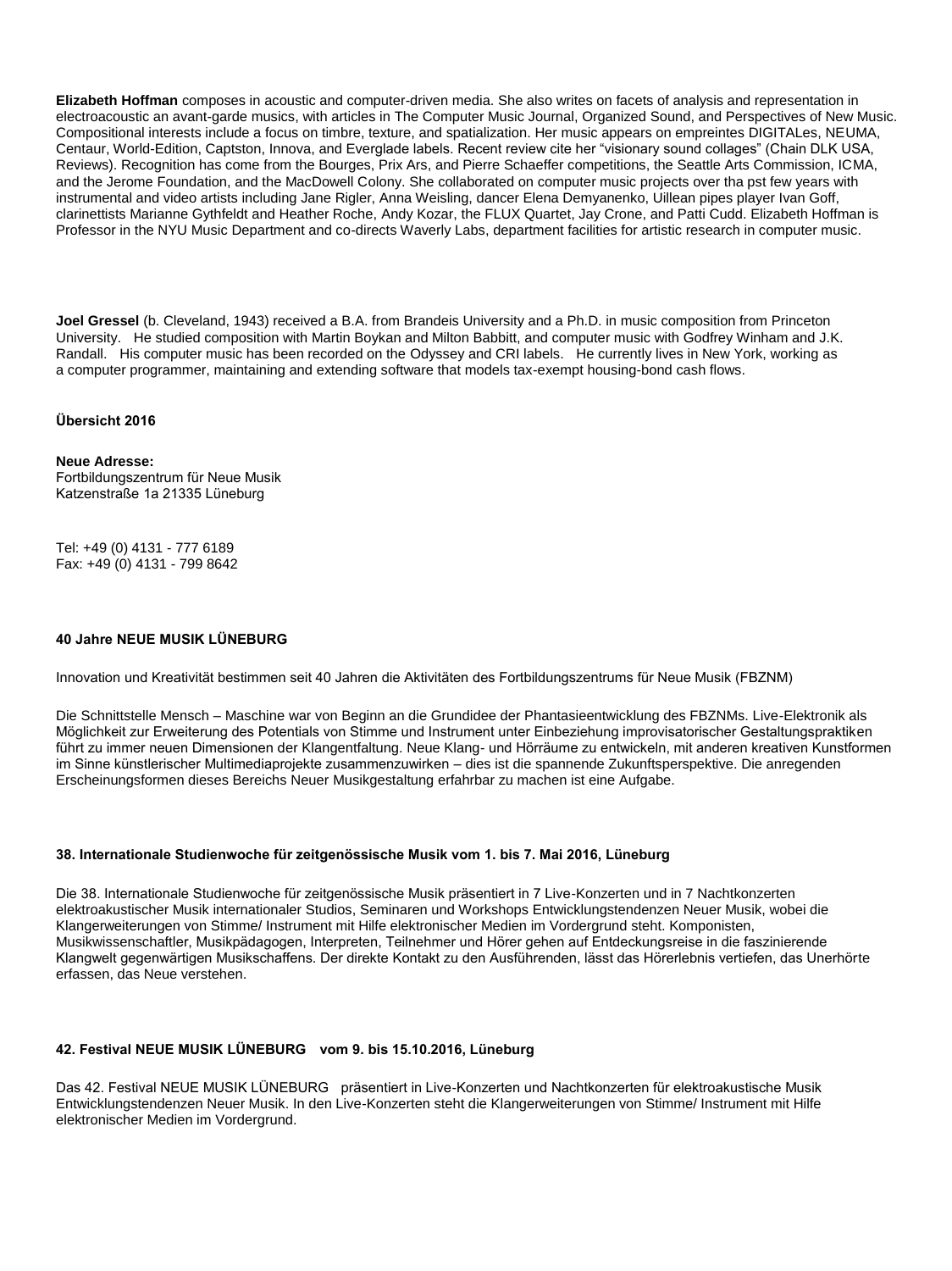**Elizabeth Hoffman** composes in acoustic and computer-driven media. She also writes on facets of analysis and representation in electroacoustic an avant-garde musics, with articles in The Computer Music Journal, Organized Sound, and Perspectives of New Music. Compositional interests include a focus on timbre, texture, and spatialization. Her music appears on empreintes DIGITALes, NEUMA, Centaur, World-Edition, Captston, Innova, and Everglade labels. Recent review cite her "visionary sound collages" (Chain DLK USA, Reviews). Recognition has come from the Bourges, Prix Ars, and Pierre Schaeffer competitions, the Seattle Arts Commission, ICMA, and the Jerome Foundation, and the MacDowell Colony. She collaborated on computer music projects over tha pst few years with instrumental and video artists including Jane Rigler, Anna Weisling, dancer Elena Demyanenko, Uillean pipes player Ivan Goff, clarinettists Marianne Gythfeldt and Heather Roche, Andy Kozar, the FLUX Quartet, Jay Crone, and Patti Cudd. Elizabeth Hoffman is Professor in the NYU Music Department and co-directs Waverly Labs, department facilities for artistic research in computer music.

**Joel Gressel** (b. Cleveland, 1943) received a B.A. from Brandeis University and a Ph.D. in music composition from Princeton University. He studied composition with Martin Boykan and Milton Babbitt, and computer music with Godfrey Winham and J.K. Randall. His computer music has been recorded on the Odyssey and CRI labels. He currently lives in New York, working as a computer programmer, maintaining and extending software that models tax-exempt housing-bond cash flows.

## **Übersicht 2016**

#### **Neue Adresse:**

Fortbildungszentrum für Neue Musik Katzenstraße 1a 21335 Lüneburg

Tel: +49 (0) 4131 - 777 6189 Fax: +49 (0) 4131 - 799 8642

## **40 Jahre NEUE MUSIK LÜNEBURG**

Innovation und Kreativität bestimmen seit 40 Jahren die Aktivitäten des Fortbildungszentrums für Neue Musik (FBZNM)

Die Schnittstelle Mensch – Maschine war von Beginn an die Grundidee der Phantasieentwicklung des FBZNMs. Live-Elektronik als Möglichkeit zur Erweiterung des Potentials von Stimme und Instrument unter Einbeziehung improvisatorischer Gestaltungspraktiken führt zu immer neuen Dimensionen der Klangentfaltung. Neue Klang- und Hörräume zu entwickeln, mit anderen kreativen Kunstformen im Sinne künstlerischer Multimediaprojekte zusammenzuwirken – dies ist die spannende Zukunftsperspektive. Die anregenden Erscheinungsformen dieses Bereichs Neuer Musikgestaltung erfahrbar zu machen ist eine Aufgabe.

#### **38. Internationale Studienwoche für zeitgenössische Musik vom 1. bis 7. Mai 2016, Lüneburg**

Die 38. Internationale Studienwoche für zeitgenössische Musik präsentiert in 7 Live-Konzerten und in 7 Nachtkonzerten elektroakustischer Musik internationaler Studios, Seminaren und Workshops Entwicklungstendenzen Neuer Musik, wobei die Klangerweiterungen von Stimme/ Instrument mit Hilfe elektronischer Medien im Vordergrund steht. Komponisten, Musikwissenschaftler, Musikpädagogen, Interpreten, Teilnehmer und Hörer gehen auf Entdeckungsreise in die faszinierende Klangwelt gegenwärtigen Musikschaffens. Der direkte Kontakt zu den Ausführenden, lässt das Hörerlebnis vertiefen, das Unerhörte erfassen, das Neue verstehen.

# **42. Festival NEUE MUSIK LÜNEBURG vom 9. bis 15.10.2016, Lüneburg**

Das 42. Festival NEUE MUSIK LÜNEBURG präsentiert in Live-Konzerten und Nachtkonzerten für elektroakustische Musik Entwicklungstendenzen Neuer Musik. In den Live-Konzerten steht die Klangerweiterungen von Stimme/ Instrument mit Hilfe elektronischer Medien im Vordergrund.